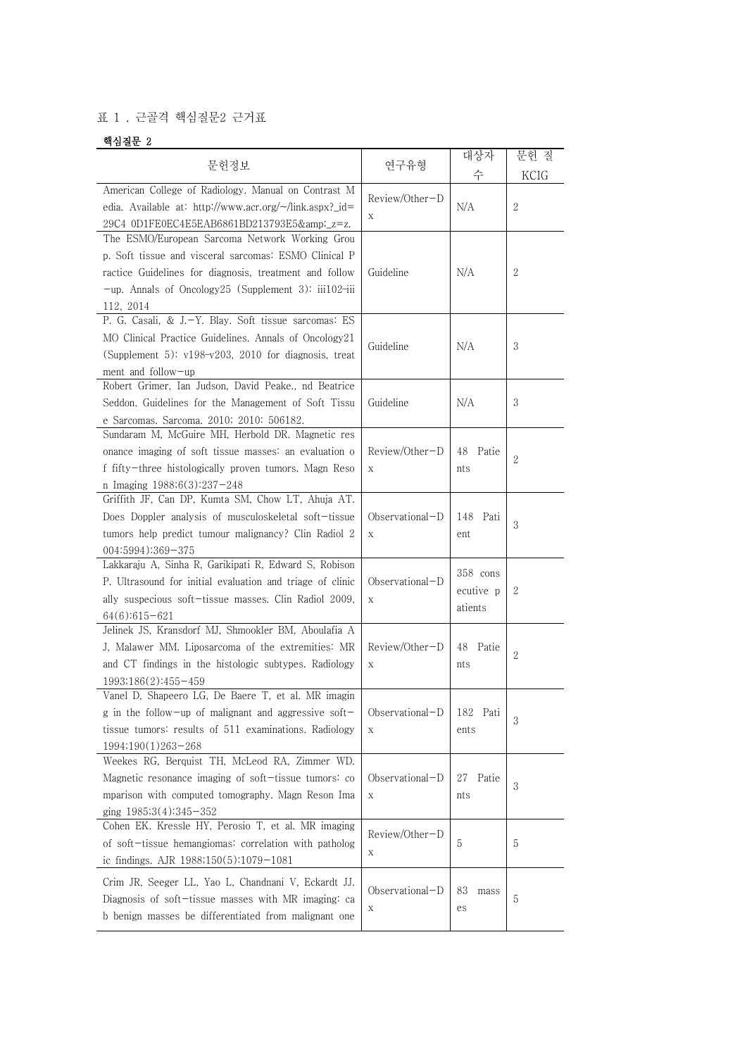## 표 1 . 근골격 핵심질문2 근거표

## 핵심질문 2

| 문헌정보                                                                                                                                                                                                                                             | 연구유형                           | 대상자                              | 문헌 질           |
|--------------------------------------------------------------------------------------------------------------------------------------------------------------------------------------------------------------------------------------------------|--------------------------------|----------------------------------|----------------|
|                                                                                                                                                                                                                                                  |                                | 수                                |                |
| American College of Radiology. Manual on Contrast M<br>edia. Available at: http://www.acr.org/~/link.aspx?_id=<br>29C4 0D1FE0EC4E5EAB6861BD213793E5&_z=z.                                                                                        | Review/Other-D<br>X            | N/A                              | 2              |
| The ESMO/European Sarcoma Network Working Grou<br>p. Soft tissue and visceral sarcomas: ESMO Clinical P<br>ractice Guidelines for diagnosis, treatment and follow<br>$-\text{up}$ . Annals of Oncology25 (Supplement 3): iii102-iii<br>112, 2014 | Guideline                      | N/A                              | 2              |
| P. G. Casali, & J.-Y. Blay. Soft tissue sarcomas: ES<br>MO Clinical Practice Guidelines. Annals of Oncology21<br>(Supplement 5): v198-v203, 2010 for diagnosis, treat<br>ment and follow-up                                                      | Guideline                      | N/A                              | 3              |
| Robert Grimer, Ian Judson, David Peake., nd Beatrice<br>Seddon. Guidelines for the Management of Soft Tissu<br>e Sarcomas. Sarcoma. 2010; 2010: 506182.                                                                                          | Guideline                      | N/A                              | 3              |
| Sundaram M, McGuire MH, Herbold DR. Magnetic res<br>onance imaging of soft tissue masses: an evaluation o<br>f fifty-three histologically proven tumors. Magn Reso<br>n Imaging 1988;6(3):237-248                                                | Review/Other-D<br>X            | 48 Patie<br>nts                  | $\overline{2}$ |
| Griffith JF, Can DP, Kumta SM, Chow LT, Ahuja AT.<br>Does Doppler analysis of musculoskeletal soft-tissue<br>tumors help predict tumour malignancy? Clin Radiol 2<br>004:5994):369-375                                                           | Observational-D<br>X           | 148 Pati<br>ent                  | 3              |
| Lakkaraju A, Sinha R, Garikipati R, Edward S, Robison<br>P. Ultrasound for initial evaluation and triage of clinic<br>ally suspecious soft-tissue masses. Clin Radiol 2009,<br>64(6):615-621                                                     | Observational-D<br>Χ           | 358 cons<br>ecutive p<br>atients | 2              |
| Jelinek JS, Kransdorf MJ, Shmookler BM, Aboulafia A<br>J, Malawer MM. Liposarcoma of the extremities: MR<br>and CT findings in the histologic subtypes. Radiology<br>1993;186(2):455-459                                                         | Review/Other-D<br>X            | 48 Patie<br>nts                  | 2              |
| Vanel D, Shapeero LG, De Baere T, et al. MR imagin<br>g in the follow-up of malignant and aggressive soft-<br>tissue tumors: results of 511 examinations. Radiology<br>1994;190(1)263-268                                                        | Observational-D<br>Χ           | 182 Pati<br>ents                 | 3              |
| Weekes RG, Berquist TH, McLeod RA, Zimmer WD.<br>Magnetic resonance imaging of soft-tissue tumors: co<br>mparison with computed tomography. Magn Reson Ima<br>ging 1985;3(4):345-352                                                             | Observational-D<br>$\mathbf X$ | Patie<br>27<br>nts               | 3              |
| Cohen EK. Kressle HY, Perosio T, et al. MR imaging<br>of soft-tissue hemangiomas: correlation with patholog<br>ic findings. AJR 1988;150(5):1079-1081                                                                                            | Review/Other-D<br>$\mathbf X$  | 5                                | 5              |
| Crim JR, Seeger LL, Yao L, Chandnani V, Eckardt JJ.<br>Diagnosis of soft-tissue masses with MR imaging: ca<br>b benign masses be differentiated from malignant one                                                                               | Observational-D<br>Χ           | 83<br>mass<br>es                 | 5              |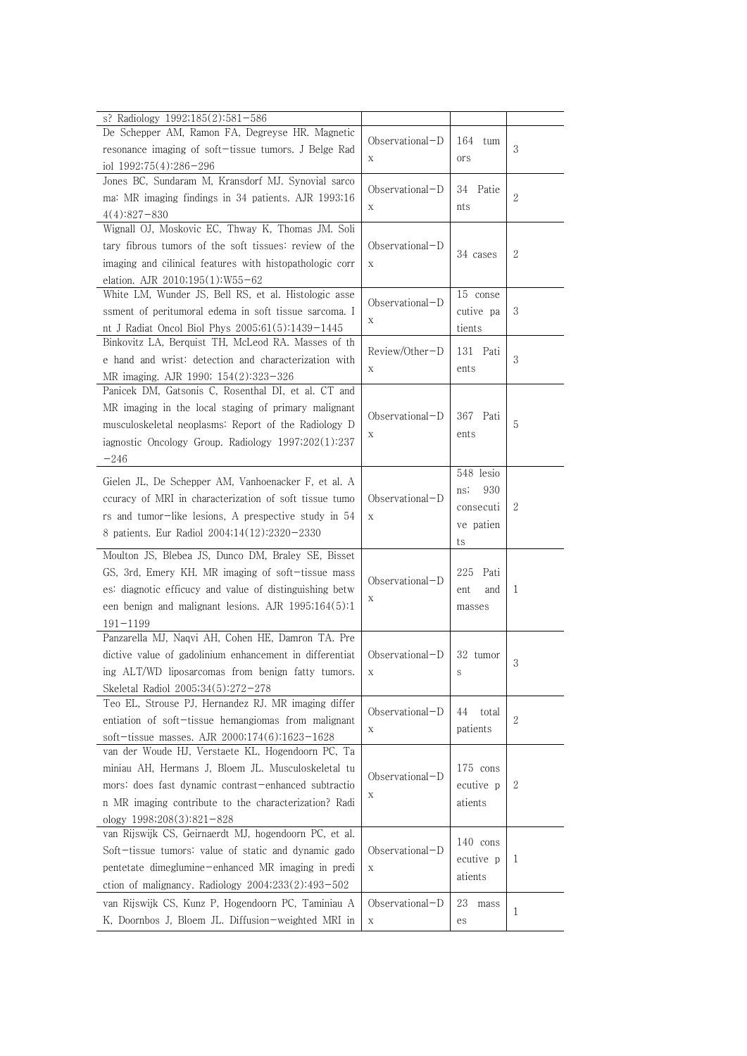| s? Radiology 1992;185(2):581-586<br>De Schepper AM, Ramon FA, Degreyse HR. Magnetic<br>resonance imaging of soft-tissue tumors. J Belge Rad<br>iol 1992;75(4):286-296                                                                                   | $Observational-D$<br>X | 164<br>tum<br>ors                                       | 3 |
|---------------------------------------------------------------------------------------------------------------------------------------------------------------------------------------------------------------------------------------------------------|------------------------|---------------------------------------------------------|---|
| Jones BC, Sundaram M, Kransdorf MJ. Synovial sarco<br>ma: MR imaging findings in 34 patients. AJR 1993;16<br>$4(4):827-830$                                                                                                                             | $Observational-D$<br>X | 34<br>Patie<br>nts                                      | 2 |
| Wignall OJ, Moskovic EC, Thway K, Thomas JM. Soli<br>tary fibrous tumors of the soft tissues: review of the<br>imaging and cilinical features with histopathologic corr<br>elation. AJR 2010;195(1):W55-62                                              | $Observational-D$<br>X | 34 cases                                                | 2 |
| White LM, Wunder JS, Bell RS, et al. Histologic asse<br>ssment of peritumoral edema in soft tissue sarcoma. I<br>nt J Radiat Oncol Biol Phys 2005;61(5):1439-1445                                                                                       | $Observational-D$<br>Χ | 15 conse<br>cutive pa<br>tients                         | 3 |
| Binkovitz LA, Berquist TH, McLeod RA. Masses of th<br>e hand and wrist: detection and characterization with<br>MR imaging. AJR 1990; 154(2):323-326                                                                                                     | Review/Other-D<br>X    | 131 Pati<br>ents                                        | 3 |
| Panicek DM, Gatsonis C, Rosenthal DI, et al. CT and<br>MR imaging in the local staging of primary malignant<br>musculoskeletal neoplasms: Report of the Radiology D<br>iagnostic Oncology Group. Radiology 1997;202(1):237<br>$-246$                    | $Observational-D$<br>X | 367 Pati<br>ents                                        | 5 |
| Gielen JL, De Schepper AM, Vanhoenacker F, et al. A<br>ccuracy of MRI in characterization of soft tissue tumo<br>rs and tumor-like lesions, A prespective study in 54<br>8 patients. Eur Radiol 2004;14(12):2320-2330                                   | $Observational-D$<br>X | 548 lesio<br>930<br>ns;<br>consecuti<br>ve patien<br>ts | 2 |
| Moulton JS, Blebea JS, Dunco DM, Braley SE, Bisset<br>GS, 3rd, Emery KH. MR imaging of soft-tissue mass<br>es: diagnotic efficucy and value of distinguishing betw<br>een benign and malignant lesions. AJR 1995;164(5):1<br>$191 - 1199$               | Observational-D<br>Х   | Pati<br>225<br>and<br>ent<br>masses                     | 1 |
| Panzarella MJ, Naqvi AH, Cohen HE, Damron TA. Pre<br>dictive value of gadolinium enhancement in differentiat<br>ing ALT/WD liposarcomas from benign fatty tumors.<br>Skeletal Radiol 2005;34(5):272-278                                                 | Observational-D<br>X   | 32 tumor<br>S                                           | 3 |
| Teo EL, Strouse PJ, Hernandez RJ. MR imaging differ<br>entiation of soft-tissue hemangiomas from malignant<br>soft-tissue masses. AJR 2000;174(6):1623-1628                                                                                             | Observational-D<br>X   | 44<br>total<br>patients                                 | 2 |
| van der Woude HJ, Verstaete KL, Hogendoorn PC, Ta<br>miniau AH, Hermans J, Bloem JL. Musculoskeletal tu<br>mors: does fast dynamic contrast-enhanced subtractio<br>n MR imaging contribute to the characterization? Radi<br>ology $1998;208(3):821-828$ | Observational-D<br>Х   | 175 cons<br>ecutive p<br>atients                        | 2 |
| van Rijswijk CS, Geirnaerdt MJ, hogendoorn PC, et al.<br>Soft-tissue tumors: value of static and dynamic gado<br>pentetate dimeglumine-enhanced MR imaging in predi<br>ction of malignancy. Radiology $2004;233(2):493-502$                             | $Observational-D$<br>X | 140 cons<br>ecutive p<br>atients                        | 1 |
| van Rijswijk CS, Kunz P, Hogendoorn PC, Taminiau A<br>K, Doornbos J, Bloem JL. Diffusion-weighted MRI in                                                                                                                                                | Observational-D<br>X   | 23<br>mass<br>es                                        | 1 |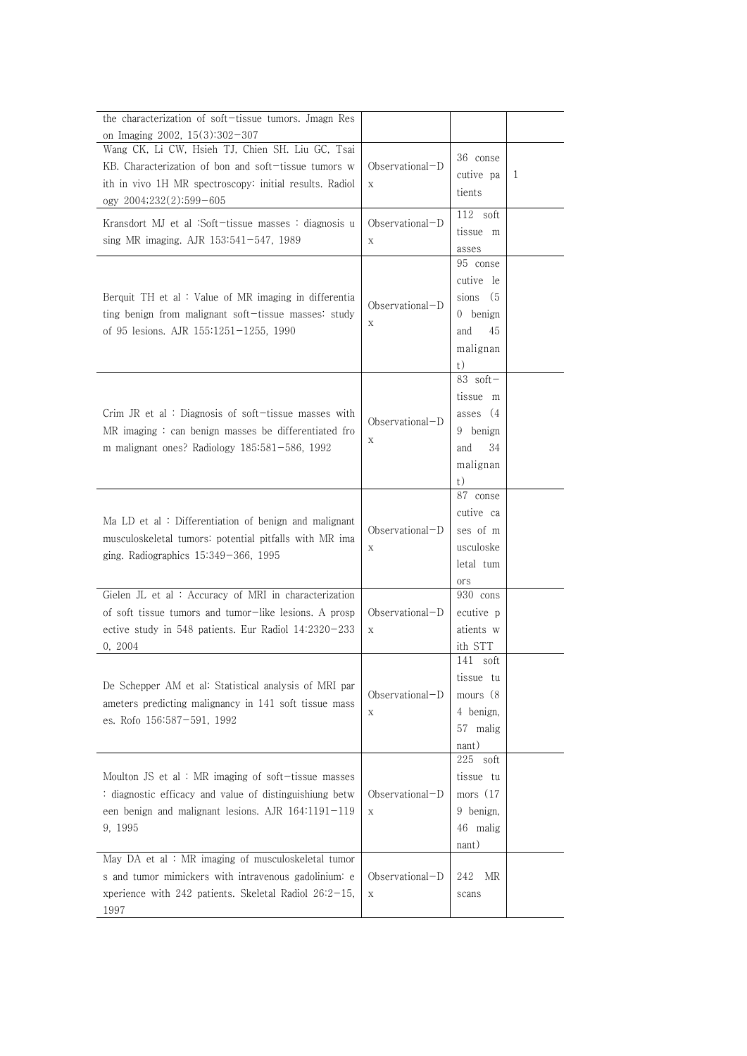| the characterization of soft-tissue tumors. Jmagn Res                                                                                                  |                                  |                     |   |
|--------------------------------------------------------------------------------------------------------------------------------------------------------|----------------------------------|---------------------|---|
| on Imaging 2002, $15(3):302-307$                                                                                                                       |                                  |                     |   |
| Wang CK, Li CW, Hsieh TJ, Chien SH. Liu GC, Tsai                                                                                                       |                                  |                     |   |
| KB. Characterization of bon and soft-tissue tumors w                                                                                                   | $Observational-D$                | 36 conse            |   |
| ith in vivo 1H MR spectroscopy: initial results. Radiol                                                                                                | $\mathbf X$                      | cutive pa           | 1 |
| ogy 2004;232(2):599-605                                                                                                                                |                                  | tients              |   |
| Kransdort MJ et al :Soft-tissue masses : diagnosis u<br>sing MR imaging. AJR $153:541-547$ , 1989                                                      | $Observational-D$<br>$\mathbf X$ | $112$ soft          |   |
|                                                                                                                                                        |                                  | tissue m            |   |
|                                                                                                                                                        |                                  | asses               |   |
| Berquit TH et al: Value of MR imaging in differentia<br>ting benign from malignant soft-tissue masses: study<br>of 95 lesions. AJR 155:1251-1255, 1990 | $Observational-D$<br>$\mathbf X$ | 95 conse            |   |
|                                                                                                                                                        |                                  | cutive le           |   |
|                                                                                                                                                        |                                  | sions (5            |   |
|                                                                                                                                                        |                                  | 0 benign            |   |
|                                                                                                                                                        |                                  | 45<br>and           |   |
|                                                                                                                                                        |                                  | malignan            |   |
|                                                                                                                                                        |                                  | t)                  |   |
|                                                                                                                                                        |                                  | $83$ soft-          |   |
|                                                                                                                                                        |                                  | tissue m            |   |
| Crim JR et al : Diagnosis of soft-tissue masses with                                                                                                   | $Observational-D$                | asses (4)           |   |
| $MR$ imaging : can benign masses be differentiated fro                                                                                                 | Χ                                | 9 benign            |   |
| m malignant ones? Radiology $185:581-586$ , $1992$                                                                                                     |                                  | 34<br>and           |   |
|                                                                                                                                                        |                                  | malignan            |   |
|                                                                                                                                                        |                                  | t)                  |   |
|                                                                                                                                                        | $Observational-D$<br>X           | 87 conse            |   |
| Ma LD et al: Differentiation of benign and malignant                                                                                                   |                                  | cutive ca           |   |
| musculoskeletal tumors: potential pitfalls with MR ima<br>ging. Radiographics $15:349-366$ , 1995                                                      |                                  | ses of m            |   |
|                                                                                                                                                        |                                  | usculoske           |   |
|                                                                                                                                                        |                                  | letal tum           |   |
|                                                                                                                                                        |                                  | ors                 |   |
| Gielen JL et al : Accuracy of MRI in characterization                                                                                                  | $Observational-D$<br>$\mathbf X$ | 930 cons            |   |
| of soft tissue tumors and tumor-like lesions. A prosp                                                                                                  |                                  | ecutive p           |   |
| ective study in 548 patients. Eur Radiol 14:2320-233                                                                                                   |                                  | atients w           |   |
| 0, 2004                                                                                                                                                |                                  | ith STT             |   |
| De Schepper AM et al: Statistical analysis of MRI par<br>ameters predicting malignancy in 141 soft tissue mass<br>es. Rofo 156:587-591, 1992           |                                  | 141 soft            |   |
|                                                                                                                                                        |                                  | tissue tu           |   |
|                                                                                                                                                        | Observational-D                  | mours (8            |   |
|                                                                                                                                                        | X                                | 4 benign,           |   |
|                                                                                                                                                        |                                  | 57 malig            |   |
|                                                                                                                                                        |                                  | nant)<br>$225$ soft |   |
| Moulton JS et al : MR imaging of soft-tissue masses                                                                                                    | Observational-D<br>$\mathbf X$   | tissue tu           |   |
| : diagnostic efficacy and value of distinguishiung betw                                                                                                |                                  | mors $(17)$         |   |
| een benign and malignant lesions. AJR 164:1191-119<br>9, 1995                                                                                          |                                  | 9 benign,           |   |
|                                                                                                                                                        |                                  | 46 malig            |   |
|                                                                                                                                                        |                                  |                     |   |
| May DA et al: MR imaging of musculoskeletal tumor                                                                                                      |                                  | nant)               |   |
| s and tumor mimickers with intravenous gadolinium: e                                                                                                   | Observational-D                  | 242<br>MR           |   |
| xperience with 242 patients. Skeletal Radiol 26:2-15,                                                                                                  | $\mathbf X$                      | scans               |   |
| 1997                                                                                                                                                   |                                  |                     |   |
|                                                                                                                                                        |                                  |                     |   |